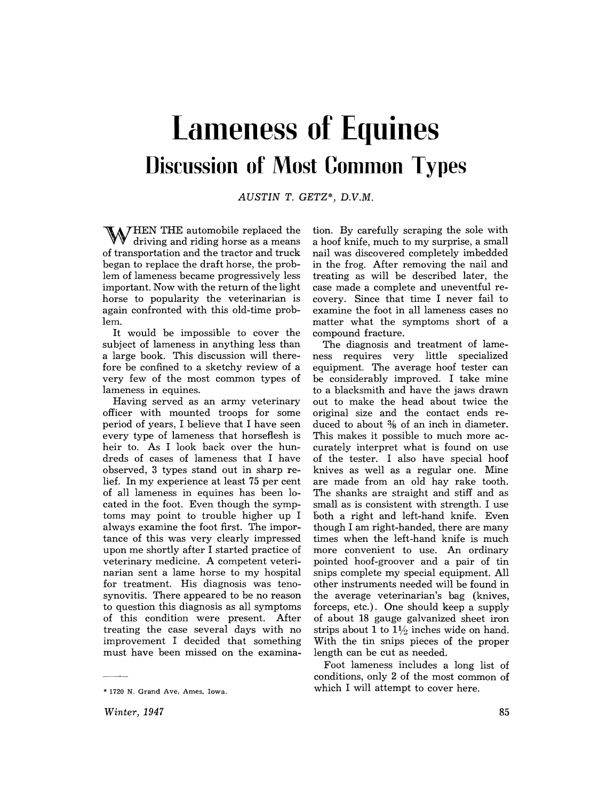# **Lameness of Equines Discussion of Most Common Types**

AUSTIN T. GETZ\*, D.V.M.

W HEN THE automobile replaced the driving and riding horse as a means of transportation and the tractor and truck began to replace the draft horse, the problem of lameness became progressively less important. Now with the return of the light horse to popularity the veterinarian is again confronted with this old-time problem.

It would be impossible to cover the subject of lameness in anything less than a large book. This discussion will therefore be confined to a sketchy review of a very few of the most common types of lameness in equines.

Having served as an army veterinary officer with mounted troops for some period of years, I believe that I have seen every type of lameness that horseflesh is heir to. As I look back over the hundreds of cases of lameness that I have observed, 3 types stand out in sharp relief. In my experience at least 75 per cent of all lameness in equines has been located in the foot. Even though the symptoms may point to trouble higher up I always examine the foot first. The importance of this was very clearly impressed upon me shortly after I started practice of veterinary medicine. A competent veterinarian sent a lame horse to my hospital for treatment. His diagnosis was tenosynovitis. There appeared to be no reason to question this diagnosis as all symptoms of this condition were present. After treating the case several days with no improvement I decided that something must have been missed on the examina-

\* 1720 N. Grand Ave. Ames. Iowa.

tion. By carefully scraping the sole with a hoof knife, much to my surprise, a small nail was discovered completely imbedded in the frog. After removing the nail and treating as will be described later, the case made a complete and uneventful recovery. Since that time I never fail to examine the foot in all lameness cases no matter what the symptoms short of a compound fracture.

The diagnosis and treatment of lameness requires very little specialized equipment. The average hoof tester can be considerably improved. I take mine to a blacksmith and have the jaws drawn out to make the head about twice the original size and the contact ends reduced to about % of an inch in diameter. This makes it possible to much more accurately interpret what is found on use of the tester. I also have special hoof knives as well as a regular one. Mine are made from an old hay rake tooth. The shanks are straight and stiff and as small as is consistent with strength. I use both a right and left-hand knife. Even though I am right-handed, there are many times when the left-hand knife is much more convenient to use. An ordinary pointed hoof-groover and a pair of tin snips complete my special equipment. All other instruments needed will be found in the average veterinarian's bag (knives, forceps, etc.). One should keep a supply of a bout 18 gauge galvanized sheet iron strips about 1 to  $1\frac{1}{2}$  inches wide on hand. With the tin snips pieces of the proper length can be cut as needed.

Foot lameness includes a long list of conditions, only 2 of the most common of which I will attempt to cover here.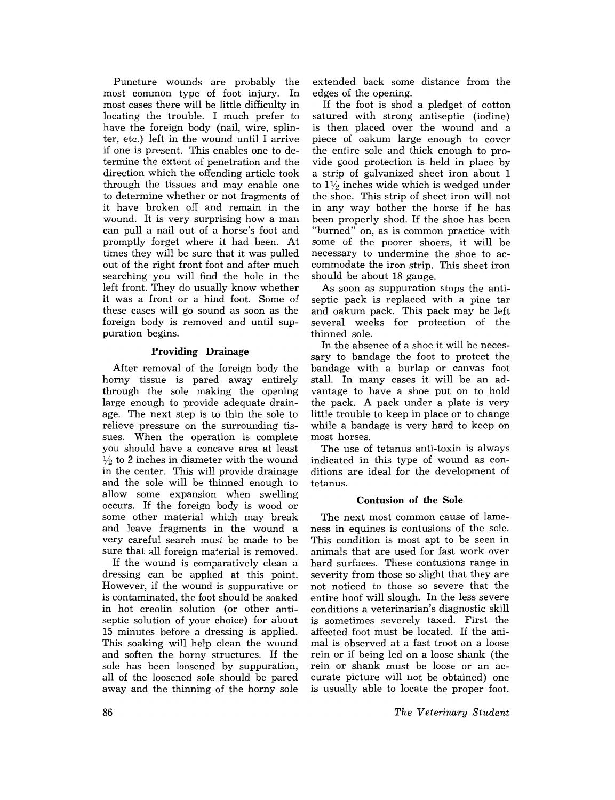Puncture wounds are probably the most common type of foot injury. In most cases there will be little difficulty in locating the trouble. I much prefer to have the foreign body (nail, wire, splinter, etc.) left in the wound until I arrive if one is present. This enables one to determine the extent of penetration and the direction which the offending article took through the tissues and may enable one to determine whether or not fragments of it have broken off and remain in the wound. It is very surprising how a man can pull a nail out of a horse's foot and promptly forget where it had been. At times they will be sure that it was pulled out of the right front foot and after much searching you will find the hole in the left front. They do usually know whether it was a front or a hind foot. Some of these cases will go sound as soon as the foreign body is removed and until suppuration begins.

## Providing Drainage

After removal of the foreign body the horny tissue is pared away entirely through the sole making the opening large enough to provide adequate drainage. The next step is to thin the sole to relieve pressure on the surrounding tissues. When the operation is complete you should have a concave area at least  $\frac{1}{2}$  to 2 inches in diameter with the wound in the center. This will provide drainage and the sole will be thinned enough to allow some expansion when swelling occurs. If the foreign body is wood or some other material which may break and leave fragments in the wound a very careful search must be made to be sure that all foreign material is removed.

If the wound is comparatively clean a dressing can be applied at this point. However, if the wound is suppurative or is contaminated, the foot should be soaked in hot creolin solution (or other antiseptic solution of your choice) for about 15 minutes before a dressing is applied. This soaking will help clean the wound and soften the horny structures. If the sole has been loosened by suppuration, all of the loosened sole should be pared away and the thinning of the horny sole

extended back some distance from the edges of the opening.

If the foot is shod a pledget of cotton satured with strong antiseptic (iodine) is then placed over the wound and a piece of oakum large enough to cover the entire sole and thick enough to provide good protection is held in place by a strip of galvanized sheet iron about 1 to  $1\frac{1}{2}$  inches wide which is wedged under the shoe. This strip of sheet iron will not in any way bother the horse if he has been properly shod. If the shoe has been "burned" on, as is common practice with some of the poorer shoers, it will be necessary to undermine the shoe to accommodate the iron strip. This sheet iron should be about 18 gauge.

As soon as suppuration stops the antiseptic pack is replaced with a pine tar and oakum pack. This pack may be left several weeks for protection of the thinned sale.

In the absence of a shoe it will be necessary to bandage the foot to protect the bandage with a burlap or canvas foot stall. In many cases it will be an advantage to have a shoe put on to hold the pack. A pack under a plate is very little trouble to keep in place or to change while a bandage is very hard to keep on most horses.

The use of tetanus anti-toxin is always indicated in this type of wound as conditions are ideal for the development of tetanus.

## Contusion of the Sole

The next most common cause of lameness in equines is contusions of the sole. This condition is most apt to be seen in animals that are used for fast work over hard surfaces. These contusions range in severity from those so slight that they are not noticed to those so severe that the entire hoof will slough. In the less severe conditions a veterinarian's diagnostic skill is sometimes severely taxed. First the affected foot must be located. If the animal is observed at a fast troot on a loose rein or if being led on a loose shank (the rein or shank must be loose or an accurate picture will not be obtained) one is usually able to locate the proper foot.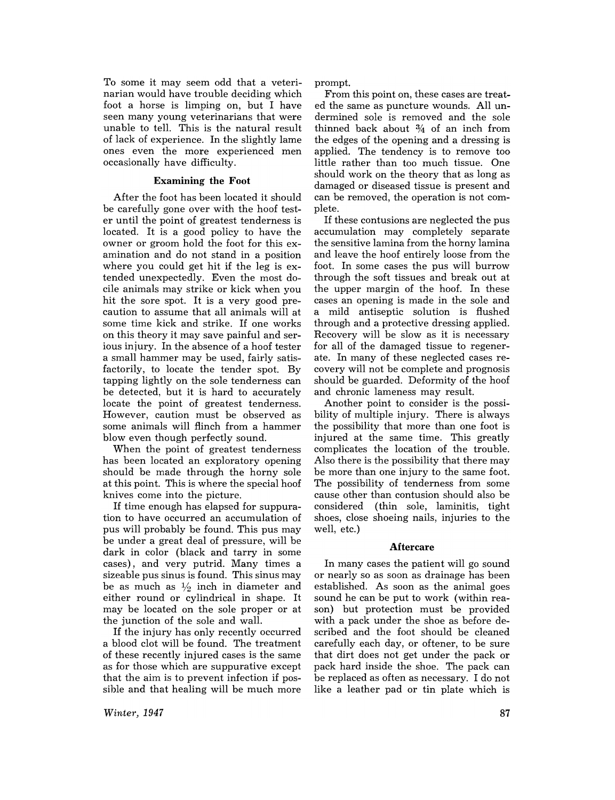To some it may seem odd that a veterinarian would have trouble deciding which foot a horse is limping on, but I have seen many young veterinarians that were unable to tell. This is the natural result of lack of experience. In the slightly lame ones even the more experienced men occasionally have difficulty.

### Examining the **Foot**

After the foot has been located it should be carefully gone over with the hoof tester until the point of greatest tenderness is located. It is a good policy to have the owner or groom hold the foot for this examination and do not stand in a position where you could get hit if the leg is extended unexpectedly. Even the most docile animals may strike or kick when you hit the sore spot. It is a very good precaution to assume that all animals will at some time kick and strike. If one works on this theory it may save painful and serious injury. In the absence of a hoof tester a small hammer may be used, fairly satisfactorily, to locate the tender spot. By tapping lightly on the sole tenderness can be detected, but it is hard to accurately locate the point of greatest tenderness. However, caution must be observed as some animals will flinch from a hammer blow even though perfectly sound.

When the point of greatest tenderness has been located an exploratory opening should be made through the horny sole at this point. This is where the special hoof knives come into the picture.

If time enough has elapsed for suppuration to have occurred an accumulation of pus will probably be found. This pus may be under a great deal of pressure, will be dark in color (black and tarry in some cases), and very putrid. Many times a sizeable pus sinus is found. This sinus may be as much as  $\frac{1}{2}$  inch in diameter and either round or cylindrical in shape. It may be located on the sole proper or at the junction of the sole and wall.

If the injury has only recently occurred a blood clot will be found. The treatment of these recently injured cases is the same as for those which are suppurative except that the aim is to prevent infection if possible and that healing will be much more prompt.

From this point on, these cases are treated the same as puncture wounds. All undermined sole is removed and the sole thinned back about  $\frac{3}{4}$  of an inch from the edges of the opening and a dressing is applied. The tendency is to remove too little rather than too much tissue. One should work on the theory that as long as damaged or diseased tissue is present and can be removed, the operation is not complete.

If these contusions are neglected the pus accumulation may completely separate the sensitive lamina from the horny lamina and leave the hoof entirely loose from the foot. In some cases the pus will burrow through the soft tissues and break out at the upper margin of the hoof. In these cases an opening is made in the sole and a mild antiseptic solution is flushed through and a protective dressing applied. Recovery will be slow as it is necessary for all of the damaged tissue to regenerate. In many of these neglected cases recovery will not be complete and prognosis should be guarded. Deformity of the hoof and chronic lameness may result.

Another point to consider is the possibility of multiple injury. There is always the possibility that more than one foot is injured at the same time. This greatly complicates the location of the trouble. Also there is the possibility that there may be more than one injury to the same foot. The possibility of tenderness from some cause other than contusion should also be considered (thin sole, laminitis, tight shoes, close shoeing nails, injuries to the well, etc.)

#### **Aftercare**

In many cases the patient will go sound or nearly so as soon as drainage has been established. As soon as the animal goes sound he can be put to work (within reason) but protection must be provided with a pack under the shoe as before described and the foot should be cleaned carefully each day, or oftener, to be sure that dirt does not get under the pack or pack hard inside the shoe. The pack can be replaced as often as necessary. I do not like a leather pad or tin plate which is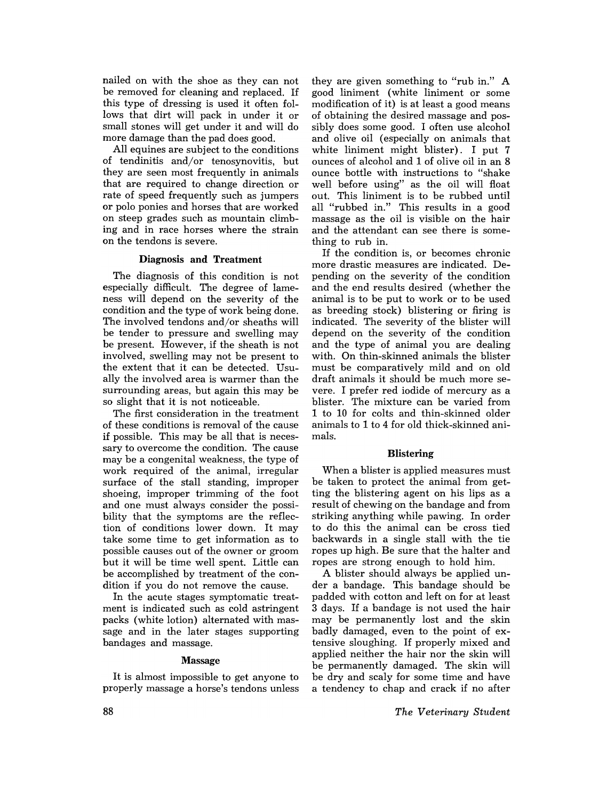nailed on with the shoe as they can not be removed for cleaning and replaced. If this type of dressing is used it often follows that dirt will pack in under it or small stones will get under it and will do more damage than the pad does good.

All equines are subject to the conditions of tendinitis and/or tenosynovitis, but they are seen most frequently in animals that are required to change direction or rate of speed frequently such as jumpers or polo ponies and horses that are worked on steep grades such as mountain climbing and in race horses where the strain on the tendons is severe.

#### Diagnosis and Treatment

The diagnosis of this condition is not especially difficult. The degree of lameness will depend on the severity of the condition and the type of work being done. The involved tendons and/or sheaths will be tender to pressure and swelling may be present. However, if the sheath is not involved, swelling may not be present to the extent that it can be detected. Usually the involved area is warmer than the surrounding areas, but again this may be so slight that it is not noticeable.

The first consideration in the treatment of these conditions is removal of the cause if possible. This may be all that is necessary to overcome the condition. The cause may be a congenital weakness, the type of work required of the animal, irregular surface of the stall standing, improper shoeing, improper trimming of the foot and one must always consider the possibility that the symptoms are the reflection of conditions lower down. It may take some time to get information as to possible causes out of the owner or groom but it will be time well spent. Little can be accomplished by treatment of the condition if you do not remove the cause.

In the acute stages symptomatic treatment is indicated such as cold astringent packs (white lotion) alternated with massage and in the later stages supporting bandages and massage.

#### Massage

It is almost impossible to get anyone to properly massage a horse's tendons unless

they are given something to "rub in." A good liniment (white liniment or some modification of it) is at least a good means of obtaining the desired massage and possibly does some good. I often use alcohol and olive oil (especially on animals that white liniment might blister). I put 7 ounces of alcohol and 1 of olive oil in an 8 ounce bottle with instructions to "shake well before using" as the oil will float out. This liniment is to be rubbed until all "rubbed in." This results in a good massage as the oil is visible on the hair and the attendant can see there is something to rub in.

If the condition is, or becomes chronic more drastic measures are indicated. Depending on the severity of the condition and the end results desired (whether the animal is to be put to work or to be used as breeding stock) blistering or firing is indicated. The severity of the blister will depend on the severity of the condition and the type of animal you are dealing with. On thin-skinned animals the blister must be comparatively mild and on old draft animals it should be much more severe. I prefer red iodide of mercury as a blister. The mixture can be varied from 1 to 10 for colts and thin-skinned older animals to 1 to 4 for old thick-skinned animals.

#### Blistering

When a blister is applied measures must be taken to protect the animal from getting the blistering agent on his lips as a result of chewing on the bandage and from striking anything while pawing. In order to do this the animal can be cross tied backwards in a single stall with the tie ropes up high. Be sure that the halter and ropes are strong enough to hold him.

A blister should always be applied under a bandage. This bandage should be padded with cotton and left on for at least 3 days. If a bandage is not used the hair may be permanently lost and the skin badly damaged, even to the point of extensive sloughing. If properly mixed and applied neither the hair nor the skin will be permanently damaged. The skin will be dry and scaly for some time and have a tendency to chap and crack if no after